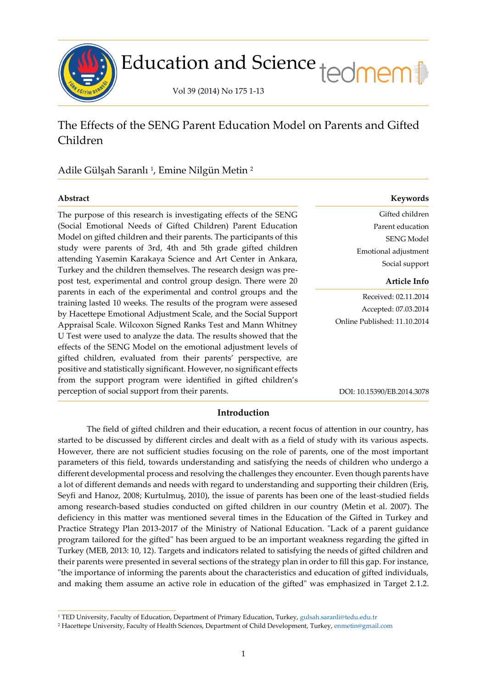

# Education and Science tedmem

Vol 39 (2014) No 175 1-13

# The Effects of the SENG Parent Education Model on Parents and Gifted Children

## Adile Gülşah Saranlı <sup>1</sup> , Emine Nilgün Metin <sup>2</sup>

ł

The purpose of this research is investigating effects of the SENG (Social Emotional Needs of Gifted Children) Parent Education Model on gifted children and their parents. The participants of this study were parents of 3rd, 4th and 5th grade gifted children attending Yasemin Karakaya Science and Art Center in Ankara, Turkey and the children themselves. The research design was prepost test, experimental and control group design. There were 20 parents in each of the experimental and control groups and the training lasted 10 weeks. The results of the program were assesed by Hacettepe Emotional Adjustment Scale, and the Social Support Appraisal Scale. Wilcoxon Signed Ranks Test and Mann Whitney U Test were used to analyze the data. The results showed that the effects of the SENG Model on the emotional adjustment levels of gifted children, evaluated from their parents' perspective, are positive and statistically significant. However, no significant effects from the support program were identified in gifted children's perception of social support from their parents.

#### **Abstract Keywords**

Gifted children Parent education SENG Model Emotional adjustment Social support

#### **Article Info**

Received: 02.11.2014 Accepted: 07.03.2014 Online Published: 11.10.2014

DOI: 10.15390/EB.2014.3078

#### **Introduction**

The field of gifted children and their education, a recent focus of attention in our country, has started to be discussed by different circles and dealt with as a field of study with its various aspects. However, there are not sufficient studies focusing on the role of parents, one of the most important parameters of this field, towards understanding and satisfying the needs of children who undergo a different developmental process and resolving the challenges they encounter. Even though parents have a lot of different demands and needs with regard to understanding and supporting their children (Eriş, Seyfi and Hanoz, 2008; Kurtulmuş, 2010), the issue of parents has been one of the least-studied fields among research-based studies conducted on gifted children in our country (Metin et al. 2007). The deficiency in this matter was mentioned several times in the Education of the Gifted in Turkey and Practice Strategy Plan 2013-2017 of the Ministry of National Education. "Lack of a parent guidance program tailored for the gifted" has been argued to be an important weakness regarding the gifted in Turkey (MEB, 2013: 10, 12). Targets and indicators related to satisfying the needs of gifted children and their parents were presented in several sections of the strategy plan in order to fill this gap. For instance, "the importance of informing the parents about the characteristics and education of gifted individuals, and making them assume an active role in education of the gifted" was emphasized in Target 2.1.2.

<sup>1</sup> TED University, Faculty of Education, Department of Primary Education, Turkey, [gulsah.saranli@tedu.edu.tr](mailto:gulsah.saranli@tedu.edu.tr)

<sup>2</sup> Hacettepe University, Faculty of Health Sciences, Department of Child Development, Turkey, [enmetin@gmail.com](mailto:enmetin@gmail.com)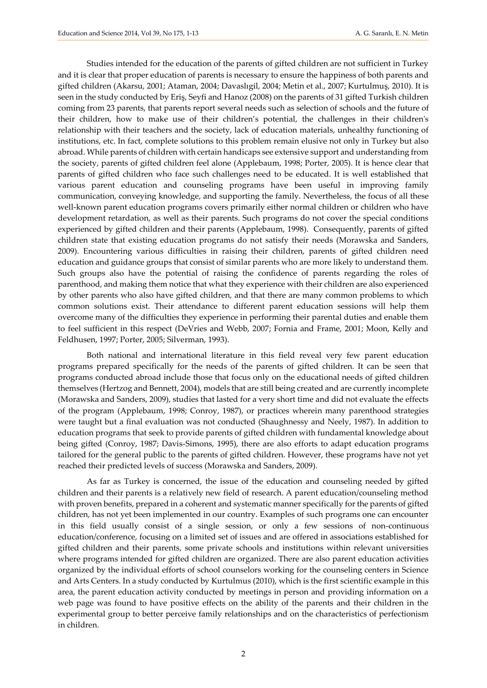Studies intended for the education of the parents of gifted children are not sufficient in Turkey and it is clear that proper education of parents is necessary to ensure the happiness of both parents and gifted children (Akarsu, 2001; Ataman, 2004; Davaslıgil, 2004; Metin et al., 2007; Kurtulmuş, 2010). It is seen in the study conducted by Eriş, Seyfi and Hanoz (2008) on the parents of 31 gifted Turkish children coming from 23 parents, that parents report several needs such as selection of schools and the future of their children, how to make use of their children's potential, the challenges in their children's relationship with their teachers and the society, lack of education materials, unhealthy functioning of institutions, etc. In fact, complete solutions to this problem remain elusive not only in Turkey but also abroad. While parents of children with certain handicaps see extensive support and understanding from the society, parents of gifted children feel alone (Applebaum, 1998; Porter, 2005). It is hence clear that parents of gifted children who face such challenges need to be educated. It is well established that various parent education and counseling programs have been useful in improving family communication, conveying knowledge, and supporting the family. Nevertheless, the focus of all these well-known parent education programs covers primarily either normal children or children who have development retardation, as well as their parents. Such programs do not cover the special conditions experienced by gifted children and their parents (Applebaum, 1998). Consequently, parents of gifted children state that existing education programs do not satisfy their needs (Morawska and Sanders, 2009). Encountering various difficulties in raising their children, parents of gifted children need education and guidance groups that consist of similar parents who are more likely to understand them. Such groups also have the potential of raising the confidence of parents regarding the roles of parenthood, and making them notice that what they experience with their children are also experienced by other parents who also have gifted children, and that there are many common problems to which common solutions exist. Their attendance to different parent education sessions will help them overcome many of the difficulties they experience in performing their parental duties and enable them to feel sufficient in this respect (DeVries and Webb, 2007; Fornia and Frame, 2001; Moon, Kelly and Feldhusen, 1997; Porter, 2005; Silverman, 1993).

Both national and international literature in this field reveal very few parent education programs prepared specifically for the needs of the parents of gifted children. It can be seen that programs conducted abroad include those that focus only on the educational needs of gifted children themselves (Hertzog and Bennett, 2004), models that are still being created and are currently incomplete (Morawska and Sanders, 2009), studies that lasted for a very short time and did not evaluate the effects of the program (Applebaum, 1998; Conroy, 1987), or practices wherein many parenthood strategies were taught but a final evaluation was not conducted (Shaughnessy and Neely, 1987). In addition to education programs that seek to provide parents of gifted children with fundamental knowledge about being gifted (Conroy, 1987; Davis-Simons, 1995), there are also efforts to adapt education programs tailored for the general public to the parents of gifted children. However, these programs have not yet reached their predicted levels of success (Morawska and Sanders, 2009).

As far as Turkey is concerned, the issue of the education and counseling needed by gifted children and their parents is a relatively new field of research. A parent education/counseling method with proven benefits, prepared in a coherent and systematic manner specifically for the parents of gifted children, has not yet been implemented in our country. Examples of such programs one can encounter in this field usually consist of a single session, or only a few sessions of non-continuous education/conference, focusing on a limited set of issues and are offered in associations established for gifted children and their parents, some private schools and institutions within relevant universities where programs intended for gifted children are organized. There are also parent education activities organized by the individual efforts of school counselors working for the counseling centers in Science and Arts Centers. In a study conducted by Kurtulmus (2010), which is the first scientific example in this area, the parent education activity conducted by meetings in person and providing information on a web page was found to have positive effects on the ability of the parents and their children in the experimental group to better perceive family relationships and on the characteristics of perfectionism in children.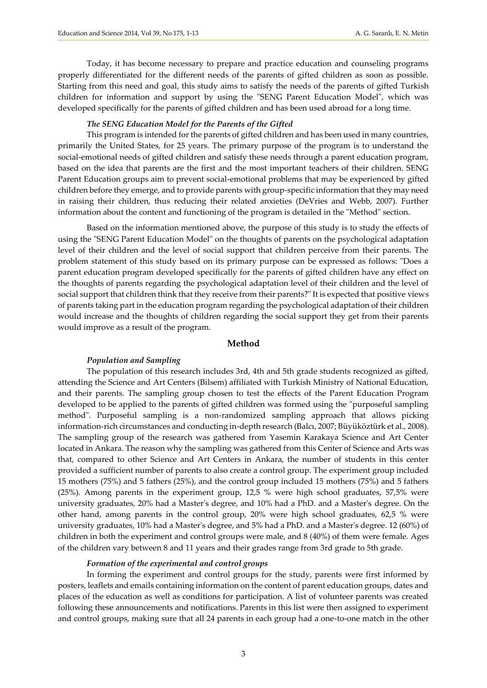Today, it has become necessary to prepare and practice education and counseling programs properly differentiated for the different needs of the parents of gifted children as soon as possible. Starting from this need and goal, this study aims to satisfy the needs of the parents of gifted Turkish children for information and support by using the "SENG Parent Education Model", which was developed specifically for the parents of gifted children and has been used abroad for a long time.

#### *The SENG Education Model for the Parents of the Gifted*

This program is intended for the parents of gifted children and has been used in many countries, primarily the United States, for 25 years. The primary purpose of the program is to understand the social-emotional needs of gifted children and satisfy these needs through a parent education program, based on the idea that parents are the first and the most important teachers of their children. SENG Parent Education groups aim to prevent social-emotional problems that may be experienced by gifted children before they emerge, and to provide parents with group-specific information that they may need in raising their children, thus reducing their related anxieties (DeVries and Webb, 2007). Further information about the content and functioning of the program is detailed in the "Method" section.

Based on the information mentioned above, the purpose of this study is to study the effects of using the "SENG Parent Education Model" on the thoughts of parents on the psychological adaptation level of their children and the level of social support that children perceive from their parents. The problem statement of this study based on its primary purpose can be expressed as follows: "Does a parent education program developed specifically for the parents of gifted children have any effect on the thoughts of parents regarding the psychological adaptation level of their children and the level of social support that children think that they receive from their parents?" It is expected that positive views of parents taking part in the education program regarding the psychological adaptation of their children would increase and the thoughts of children regarding the social support they get from their parents would improve as a result of the program.

#### **Method**

#### *Population and Sampling*

The population of this research includes 3rd, 4th and 5th grade students recognized as gifted, attending the Science and Art Centers (Bilsem) affiliated with Turkish Ministry of National Education, and their parents. The sampling group chosen to test the effects of the Parent Education Program developed to be applied to the parents of gifted children was formed using the "purposeful sampling method". Purposeful sampling is a non-randomized sampling approach that allows picking information-rich circumstances and conducting in-depth research (Balcı, 2007; Büyüköztürk et al., 2008). The sampling group of the research was gathered from Yasemin Karakaya Science and Art Center located in Ankara. The reason why the sampling was gathered from this Center of Science and Arts was that, compared to other Science and Art Centers in Ankara, the number of students in this center provided a sufficient number of parents to also create a control group. The experiment group included 15 mothers (75%) and 5 fathers (25%), and the control group included 15 mothers (75%) and 5 fathers (25%). Among parents in the experiment group, 12,5 % were high school graduates, 57,5% were university graduates, 20% had a Master's degree, and 10% had a PhD. and a Master's degree. On the other hand, among parents in the control group, 20% were high school graduates, 62,5 % were university graduates, 10% had a Master's degree, and 5% had a PhD. and a Master's degree. 12 (60%) of children in both the experiment and control groups were male, and 8 (40%) of them were female. Ages of the children vary between 8 and 11 years and their grades range from 3rd grade to 5th grade.

#### *Formation of the experimental and control groups*

In forming the experiment and control groups for the study, parents were first informed by posters, leaflets and emails containing information on the content of parent education groups, dates and places of the education as well as conditions for participation. A list of volunteer parents was created following these announcements and notifications. Parents in this list were then assigned to experiment and control groups, making sure that all 24 parents in each group had a one-to-one match in the other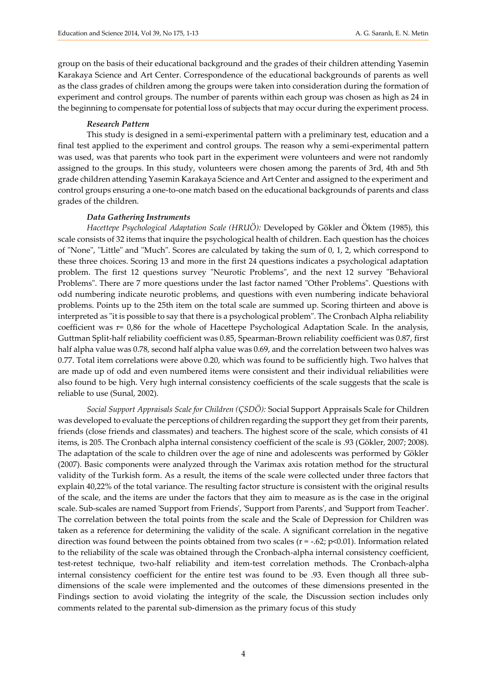group on the basis of their educational background and the grades of their children attending Yasemin Karakaya Science and Art Center. Correspondence of the educational backgrounds of parents as well as the class grades of children among the groups were taken into consideration during the formation of experiment and control groups. The number of parents within each group was chosen as high as 24 in the beginning to compensate for potential loss of subjects that may occur during the experiment process.

#### *Research Pattern*

This study is designed in a semi-experimental pattern with a preliminary test, education and a final test applied to the experiment and control groups. The reason why a semi-experimental pattern was used, was that parents who took part in the experiment were volunteers and were not randomly assigned to the groups. In this study, volunteers were chosen among the parents of 3rd, 4th and 5th grade children attending Yasemin Karakaya Science and Art Center and assigned to the experiment and control groups ensuring a one-to-one match based on the educational backgrounds of parents and class grades of the children.

#### *Data Gathering Instruments*

*Hacettepe Psychological Adaptation Scale (HRUÖ):* Developed by Gökler and Öktem (1985), this scale consists of 32 items that inquire the psychological health of children. Each question has the choices of "None", "Little" and "Much". Scores are calculated by taking the sum of 0, 1, 2, which correspond to these three choices. Scoring 13 and more in the first 24 questions indicates a psychological adaptation problem. The first 12 questions survey "Neurotic Problems", and the next 12 survey "Behavioral Problems". There are 7 more questions under the last factor named "Other Problems". Questions with odd numbering indicate neurotic problems, and questions with even numbering indicate behavioral problems. Points up to the 25th item on the total scale are summed up. Scoring thirteen and above is interpreted as "it is possible to say that there is a psychological problem". The Cronbach Alpha reliability coefficient was r= 0,86 for the whole of Hacettepe Psychological Adaptation Scale. In the analysis, Guttman Split-half reliability coefficient was 0.85, Spearman-Brown reliability coefficient was 0.87, first half alpha value was 0.78, second half alpha value was 0.69, and the correlation between two halves was 0.77. Total item correlations were above 0.20, which was found to be sufficiently high. Two halves that are made up of odd and even numbered items were consistent and their individual reliabilities were also found to be high. Very hıgh internal consistency coefficients of the scale suggests that the scale is reliable to use (Sunal, 2002).

*Social Support Appraisals Scale for Children (ÇSDÖ):* Social Support Appraisals Scale for Children was developed to evaluate the perceptions of children regarding the support they get from their parents, friends (close friends and classmates) and teachers. The highest score of the scale, which consists of 41 items, is 205. The Cronbach alpha internal consistency coefficient of the scale is .93 (Gökler, 2007; 2008). The adaptation of the scale to children over the age of nine and adolescents was performed by Gökler (2007). Basic components were analyzed through the Varimax axis rotation method for the structural validity of the Turkish form. As a result, the items of the scale were collected under three factors that explain 40,22% of the total variance. The resulting factor structure is consistent with the original results of the scale, and the items are under the factors that they aim to measure as is the case in the original scale. Sub-scales are named 'Support from Friends', 'Support from Parents', and 'Support from Teacher'. The correlation between the total points from the scale and the Scale of Depression for Children was taken as a reference for determining the validity of the scale. A significant correlation in the negative direction was found between the points obtained from two scales ( $r = -.62$ ;  $p < 0.01$ ). Information related to the reliability of the scale was obtained through the Cronbach-alpha internal consistency coefficient, test-retest technique, two-half reliability and item-test correlation methods. The Cronbach-alpha internal consistency coefficient for the entire test was found to be .93. Even though all three subdimensions of the scale were implemented and the outcomes of these dimensions presented in the Findings section to avoid violating the integrity of the scale, the Discussion section includes only comments related to the parental sub-dimension as the primary focus of this study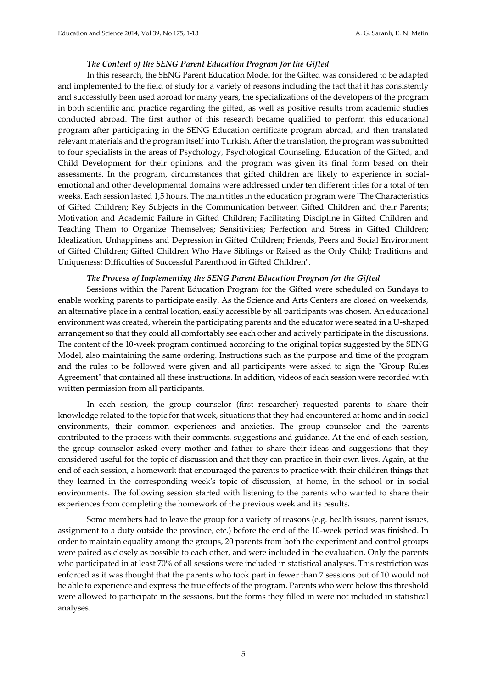#### *The Content of the SENG Parent Education Program for the Gifted*

In this research, the SENG Parent Education Model for the Gifted was considered to be adapted and implemented to the field of study for a variety of reasons including the fact that it has consistently and successfully been used abroad for many years, the specializations of the developers of the program in both scientific and practice regarding the gifted, as well as positive results from academic studies conducted abroad. The first author of this research became qualified to perform this educational program after participating in the SENG Education certificate program abroad, and then translated relevant materials and the program itself into Turkish. After the translation, the program was submitted to four specialists in the areas of Psychology, Psychological Counseling, Education of the Gifted, and Child Development for their opinions, and the program was given its final form based on their assessments. In the program, circumstances that gifted children are likely to experience in socialemotional and other developmental domains were addressed under ten different titles for a total of ten weeks. Each session lasted 1,5 hours. The main titles in the education program were "The Characteristics of Gifted Children; Key Subjects in the Communication between Gifted Children and their Parents; Motivation and Academic Failure in Gifted Children; Facilitating Discipline in Gifted Children and Teaching Them to Organize Themselves; Sensitivities; Perfection and Stress in Gifted Children; Idealization, Unhappiness and Depression in Gifted Children; Friends, Peers and Social Environment of Gifted Children; Gifted Children Who Have Siblings or Raised as the Only Child; Traditions and Uniqueness; Difficulties of Successful Parenthood in Gifted Children".

#### *The Process of Implementing the SENG Parent Education Program for the Gifted*

Sessions within the Parent Education Program for the Gifted were scheduled on Sundays to enable working parents to participate easily. As the Science and Arts Centers are closed on weekends, an alternative place in a central location, easily accessible by all participants was chosen. An educational environment was created, wherein the participating parents and the educator were seated in a U-shaped arrangement so that they could all comfortably see each other and actively participate in the discussions. The content of the 10-week program continued according to the original topics suggested by the SENG Model, also maintaining the same ordering. Instructions such as the purpose and time of the program and the rules to be followed were given and all participants were asked to sign the "Group Rules Agreement" that contained all these instructions. In addition, videos of each session were recorded with written permission from all participants.

In each session, the group counselor (first researcher) requested parents to share their knowledge related to the topic for that week, situations that they had encountered at home and in social environments, their common experiences and anxieties. The group counselor and the parents contributed to the process with their comments, suggestions and guidance. At the end of each session, the group counselor asked every mother and father to share their ideas and suggestions that they considered useful for the topic of discussion and that they can practice in their own lives. Again, at the end of each session, a homework that encouraged the parents to practice with their children things that they learned in the corresponding week's topic of discussion, at home, in the school or in social environments. The following session started with listening to the parents who wanted to share their experiences from completing the homework of the previous week and its results.

Some members had to leave the group for a variety of reasons (e.g. health issues, parent issues, assignment to a duty outside the province, etc.) before the end of the 10-week period was finished. In order to maintain equality among the groups, 20 parents from both the experiment and control groups were paired as closely as possible to each other, and were included in the evaluation. Only the parents who participated in at least 70% of all sessions were included in statistical analyses. This restriction was enforced as it was thought that the parents who took part in fewer than 7 sessions out of 10 would not be able to experience and express the true effects of the program. Parents who were below this threshold were allowed to participate in the sessions, but the forms they filled in were not included in statistical analyses.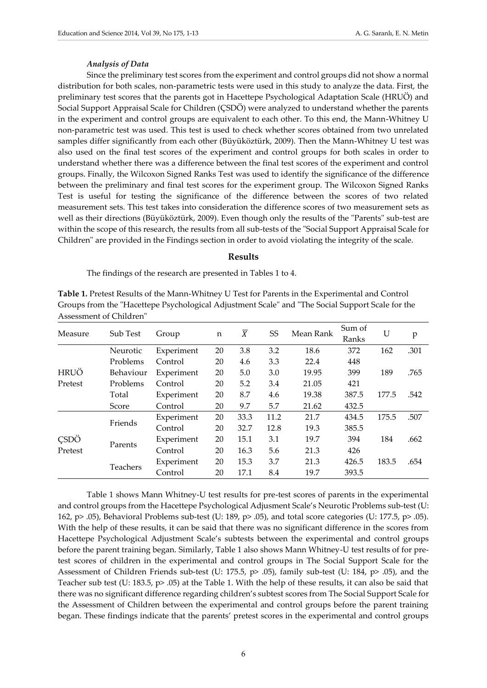#### *Analysis of Data*

Since the preliminary test scores from the experiment and control groups did not show a normal distribution for both scales, non-parametric tests were used in this study to analyze the data. First, the preliminary test scores that the parents got in Hacettepe Psychological Adaptation Scale (HRUÖ) and Social Support Appraisal Scale for Children (ÇSDÖ) were analyzed to understand whether the parents in the experiment and control groups are equivalent to each other. To this end, the Mann-Whitney U non-parametric test was used. This test is used to check whether scores obtained from two unrelated samples differ significantly from each other (Büyüköztürk, 2009). Then the Mann-Whitney U test was also used on the final test scores of the experiment and control groups for both scales in order to understand whether there was a difference between the final test scores of the experiment and control groups. Finally, the Wilcoxon Signed Ranks Test was used to identify the significance of the difference between the preliminary and final test scores for the experiment group. The Wilcoxon Signed Ranks Test is useful for testing the significance of the difference between the scores of two related measurement sets. This test takes into consideration the difference scores of two measurement sets as well as their directions (Büyüköztürk, 2009). Even though only the results of the "Parents" sub-test are within the scope of this research, the results from all sub-tests of the "Social Support Appraisal Scale for Children" are provided in the Findings section in order to avoid violating the integrity of the scale.

#### **Results**

The findings of the research are presented in Tables 1 to 4.

**Table 1.** Pretest Results of the Mann-Whitney U Test for Parents in the Experimental and Control Groups from the "Hacettepe Psychological Adjustment Scale" and "The Social Support Scale for the Assessment of Children"

| Measure                | Sub Test  | Group      | n  | $\overline{X}$ | SS   | Mean Rank | Sum of<br>Ranks | U     | p    |
|------------------------|-----------|------------|----|----------------|------|-----------|-----------------|-------|------|
|                        | Neurotic  | Experiment | 20 | 3.8            | 3.2  | 18.6      | 372             | 162   | .301 |
|                        | Problems  | Control    | 20 | 4.6            | 3.3  | 22.4      | 448             |       |      |
| <b>HRUÖ</b>            | Behaviour | Experiment | 20 | 5.0            | 3.0  | 19.95     | 399             | 189   | .765 |
| Pretest                | Problems  | Control    | 20 | 5.2            | 3.4  | 21.05     | 421             |       |      |
|                        | Total     | Experiment | 20 | 8.7            | 4.6  | 19.38     | 387.5           | 177.5 | .542 |
|                        | Score     | Control    | 20 | 9.7            | 5.7  | 21.62     | 432.5           |       |      |
| <b>CSDÖ</b><br>Pretest | Friends   | Experiment | 20 | 33.3           | 11.2 | 21.7      | 434.5           | 175.5 | .507 |
|                        |           | Control    | 20 | 32.7           | 12.8 | 19.3      | 385.5           |       |      |
|                        | Parents   | Experiment | 20 | 15.1           | 3.1  | 19.7      | 394             | 184   | .662 |
|                        |           | Control    | 20 | 16.3           | 5.6  | 21.3      | 426             |       |      |
|                        | Teachers  | Experiment | 20 | 15.3           | 3.7  | 21.3      | 426.5           | 183.5 | .654 |
|                        |           | Control    | 20 | 17.1           | 8.4  | 19.7      | 393.5           |       |      |

Table 1 shows Mann Whitney-U test results for pre-test scores of parents in the experimental and control groups from the Hacettepe Psychological Adjusment Scale's Neurotic Problems sub-test (U: 162, p> .05), Behavioral Problems sub-test (U: 189, p> .05), and total score categories (U: 177.5, p> .05). With the help of these results, it can be said that there was no significant difference in the scores from Hacettepe Psychological Adjustment Scale's subtests between the experimental and control groups before the parent training began. Similarly, Table 1 also shows Mann Whitney-U test results of for pretest scores of children in the experimental and control groups in The Social Support Scale for the Assessment of Children Friends sub-test (U: 175.5, p> .05), family sub-test (U: 184, p> .05), and the Teacher sub test (U: 183.5, p> .05) at the Table 1. With the help of these results, it can also be said that there was no significant difference regarding children's subtest scores from The Social Support Scale for the Assessment of Children between the experimental and control groups before the parent training began. These findings indicate that the parents' pretest scores in the experimental and control groups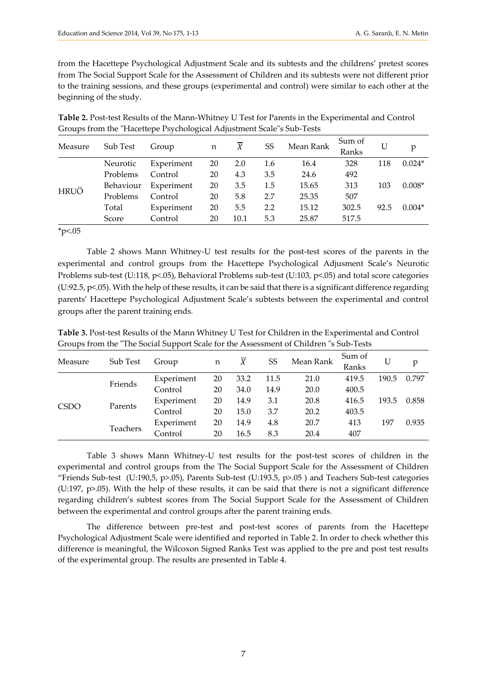from the Hacettepe Psychological Adjustment Scale and its subtests and the childrens' pretest scores from The Social Support Scale for the Assessment of Children and its subtests were not different prior to the training sessions, and these groups (experimental and control) were similar to each other at the beginning of the study.

| Table 2. Post-test Results of the Mann-Whitney U Test for Parents in the Experimental and Control |
|---------------------------------------------------------------------------------------------------|
| Groups from the "Hacettepe Psychological Adjustment Scale"s Sub-Tests                             |

| Measure     | Sub Test  | Group      | n  | X    | SS  | Mean Rank | Sum of<br>Ranks |      | p        |
|-------------|-----------|------------|----|------|-----|-----------|-----------------|------|----------|
| <b>HRUÖ</b> | Neurotic  | Experiment | 20 | 2.0  | 1.6 | 16.4      | 328             | 118  | $0.024*$ |
|             | Problems  | Control    | 20 | 4.3  | 3.5 | 24.6      | 492             |      |          |
|             | Behaviour | Experiment | 20 | 3.5  | 1.5 | 15.65     | 313             | 103  | $0.008*$ |
|             | Problems  | Control    | 20 | 5.8  | 2.7 | 25.35     | 507             |      |          |
|             | Total     | Experiment | 20 | 5.5  | 2.2 | 15.12     | 302.5           | 92.5 | $0.004*$ |
|             | Score     | Control    | 20 | 10.1 | 5.3 | 25.87     | 517.5           |      |          |

 $*_{p<.05}$ 

Table 2 shows Mann Whitney-U test results for the post-test scores of the parents in the experimental and control groups from the Hacettepe Psychological Adjusment Scale's Neurotic Problems sub-test (U:118, p<.05), Behavioral Problems sub-test (U:103, p<.05) and total score categories (U:92.5, p<.05). With the help of these results, it can be said that there is a significant difference regarding parents' Hacettepe Psychological Adjustment Scale's subtests between the experimental and control groups after the parent training ends.

**Table 3.** Post-test Results of the Mann Whitney U Test for Children in the Experimental and Control Groups from the "The Social Support Scale for the Assessment of Children "s Sub-Tests

| Measure     | Sub Test | Group      | n  | X    | SS   | Mean Rank | Sum of<br>Ranks |       | p     |
|-------------|----------|------------|----|------|------|-----------|-----------------|-------|-------|
| <b>CSDO</b> | Friends  | Experiment | 20 | 33.2 | 11.5 | 21.0      | 419.5           | 190.5 | 0.797 |
|             |          | Control    | 20 | 34.0 | 14.9 | 20.0      | 400.5           |       |       |
|             | Parents  | Experiment | 20 | 14.9 | 3.1  | 20.8      | 416.5           | 193.5 | 0.858 |
|             |          | Control    | 20 | 15.0 | 3.7  | 20.2      | 403.5           |       |       |
|             | Teachers | Experiment | 20 | 14.9 | 4.8  | 20.7      | 413             | 197   | 0.935 |
|             |          | Control    | 20 | 16.5 | 8.3  | 20.4      | 407             |       |       |

Table 3 shows Mann Whitney-U test results for the post-test scores of children in the experimental and control groups from the The Social Support Scale for the Assessment of Children "Friends Sub-test (U:190,5, p>.05), Parents Sub-test (U:193.5, p>.05 ) and Teachers Sub-test categories (U:197, p>.05). With the help of these results, it can be said that there is not a significant difference regarding children's subtest scores from The Social Support Scale for the Assessment of Children between the experimental and control groups after the parent training ends.

The difference between pre-test and post-test scores of parents from the Hacettepe Psychological Adjustment Scale were identified and reported in Table 2. In order to check whether this difference is meaningful, the Wilcoxon Signed Ranks Test was applied to the pre and post test results of the experimental group. The results are presented in Table 4.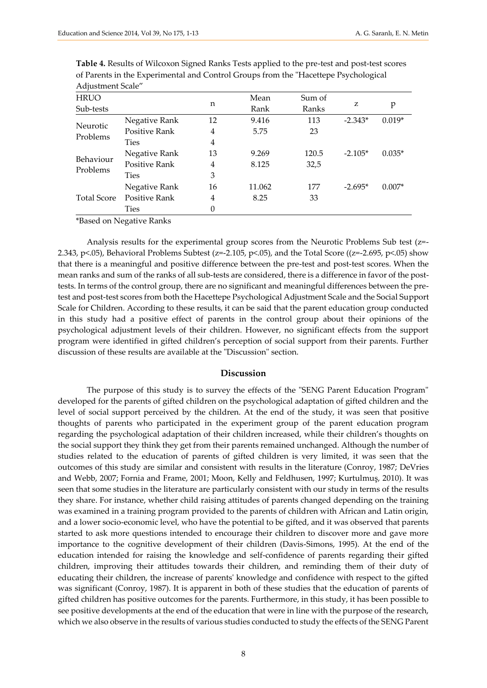| Adjustment Scale"     |               |                |        |        |           |          |
|-----------------------|---------------|----------------|--------|--------|-----------|----------|
| <b>HRUO</b>           |               | n              | Mean   | Sum of | z         | p        |
| Sub-tests             |               |                | Rank   | Ranks  |           |          |
| <b>Neurotic</b>       | Negative Rank | 12             | 9.416  | 113    | $-2.343*$ | $0.019*$ |
| Problems              | Positive Rank | 4              | 5.75   | 23     |           |          |
|                       | <b>Ties</b>   | 4              |        |        |           |          |
|                       | Negative Rank | 13             | 9.269  | 120.5  | $-2.105*$ | $0.035*$ |
| Behaviour<br>Problems | Positive Rank | 4              | 8.125  | 32,5   |           |          |
|                       | <b>Ties</b>   | 3              |        |        |           |          |
| <b>Total Score</b>    | Negative Rank | 16             | 11.062 | 177    | $-2.695*$ | $0.007*$ |
|                       | Positive Rank | 4              | 8.25   | 33     |           |          |
|                       | <b>Ties</b>   | $\overline{0}$ |        |        |           |          |

**Table 4.** Results of Wilcoxon Signed Ranks Tests applied to the pre-test and post-test scores of Parents in the Experimental and Control Groups from the "Hacettepe Psychological

\*Based on Negative Ranks

Analysis results for the experimental group scores from the Neurotic Problems Sub test (z=- 2.343, p<.05), Behavioral Problems Subtest (z=-2.105, p<.05), and the Total Score ((z=-2.695, p<.05) show that there is a meaningful and positive difference between the pre-test and post-test scores. When the mean ranks and sum of the ranks of all sub-tests are considered, there is a difference in favor of the posttests. In terms of the control group, there are no significant and meaningful differences between the pretest and post-test scores from both the Hacettepe Psychological Adjustment Scale and the Social Support Scale for Children. According to these results, it can be said that the parent education group conducted in this study had a positive effect of parents in the control group about their opinions of the psychological adjustment levels of their children. However, no significant effects from the support program were identified in gifted children's perception of social support from their parents. Further discussion of these results are available at the "Discussion" section.

#### **Discussion**

The purpose of this study is to survey the effects of the "SENG Parent Education Program" developed for the parents of gifted children on the psychological adaptation of gifted children and the level of social support perceived by the children. At the end of the study, it was seen that positive thoughts of parents who participated in the experiment group of the parent education program regarding the psychological adaptation of their children increased, while their children's thoughts on the social support they think they get from their parents remained unchanged. Although the number of studies related to the education of parents of gifted children is very limited, it was seen that the outcomes of this study are similar and consistent with results in the literature (Conroy, 1987; DeVries and Webb, 2007; Fornia and Frame, 2001; Moon, Kelly and Feldhusen, 1997; Kurtulmuş, 2010). It was seen that some studies in the literature are particularly consistent with our study in terms of the results they share. For instance, whether child raising attitudes of parents changed depending on the training was examined in a training program provided to the parents of children with African and Latin origin, and a lower socio-economic level, who have the potential to be gifted, and it was observed that parents started to ask more questions intended to encourage their children to discover more and gave more importance to the cognitive development of their children (Davis-Simons, 1995). At the end of the education intended for raising the knowledge and self-confidence of parents regarding their gifted children, improving their attitudes towards their children, and reminding them of their duty of educating their children, the increase of parents' knowledge and confidence with respect to the gifted was significant (Conroy, 1987). It is apparent in both of these studies that the education of parents of gifted children has positive outcomes for the parents. Furthermore, in this study, it has been possible to see positive developments at the end of the education that were in line with the purpose of the research, which we also observe in the results of various studies conducted to study the effects of the SENG Parent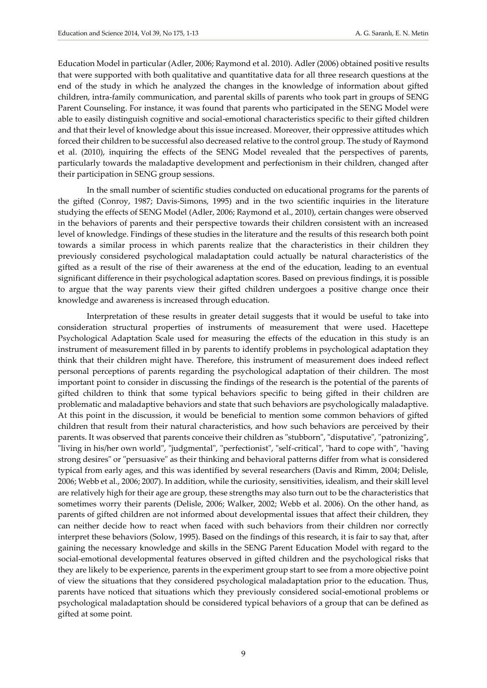Education Model in particular (Adler, 2006; Raymond et al. 2010). Adler (2006) obtained positive results that were supported with both qualitative and quantitative data for all three research questions at the end of the study in which he analyzed the changes in the knowledge of information about gifted children, intra-family communication, and parental skills of parents who took part in groups of SENG Parent Counseling. For instance, it was found that parents who participated in the SENG Model were able to easily distinguish cognitive and social-emotional characteristics specific to their gifted children and that their level of knowledge about this issue increased. Moreover, their oppressive attitudes which forced their children to be successful also decreased relative to the control group. The study of Raymond et al. (2010), inquiring the effects of the SENG Model revealed that the perspectives of parents, particularly towards the maladaptive development and perfectionism in their children, changed after their participation in SENG group sessions.

In the small number of scientific studies conducted on educational programs for the parents of the gifted (Conroy, 1987; Davis-Simons, 1995) and in the two scientific inquiries in the literature studying the effects of SENG Model (Adler, 2006; Raymond et al., 2010), certain changes were observed in the behaviors of parents and their perspective towards their children consistent with an increased level of knowledge. Findings of these studies in the literature and the results of this research both point towards a similar process in which parents realize that the characteristics in their children they previously considered psychological maladaptation could actually be natural characteristics of the gifted as a result of the rise of their awareness at the end of the education, leading to an eventual significant difference in their psychological adaptation scores. Based on previous findings, it is possible to argue that the way parents view their gifted children undergoes a positive change once their knowledge and awareness is increased through education.

Interpretation of these results in greater detail suggests that it would be useful to take into consideration structural properties of instruments of measurement that were used. Hacettepe Psychological Adaptation Scale used for measuring the effects of the education in this study is an instrument of measurement filled in by parents to identify problems in psychological adaptation they think that their children might have. Therefore, this instrument of measurement does indeed reflect personal perceptions of parents regarding the psychological adaptation of their children. The most important point to consider in discussing the findings of the research is the potential of the parents of gifted children to think that some typical behaviors specific to being gifted in their children are problematic and maladaptive behaviors and state that such behaviors are psychologically maladaptive. At this point in the discussion, it would be beneficial to mention some common behaviors of gifted children that result from their natural characteristics, and how such behaviors are perceived by their parents. It was observed that parents conceive their children as "stubborn", "disputative", "patronizing", "living in his/her own world", "judgmental", "perfectionist", "self-critical", "hard to cope with", "having strong desires" or "persuasive" as their thinking and behavioral patterns differ from what is considered typical from early ages, and this was identified by several researchers (Davis and Rimm, 2004; Delisle, 2006; Webb et al., 2006; 2007). In addition, while the curiosity, sensitivities, idealism, and their skill level are relatively high for their age are group, these strengths may also turn out to be the characteristics that sometimes worry their parents (Delisle, 2006; Walker, 2002; Webb et al. 2006). On the other hand, as parents of gifted children are not informed about developmental issues that affect their children, they can neither decide how to react when faced with such behaviors from their children nor correctly interpret these behaviors (Solow, 1995). Based on the findings of this research, it is fair to say that, after gaining the necessary knowledge and skills in the SENG Parent Education Model with regard to the social-emotional developmental features observed in gifted children and the psychological risks that they are likely to be experience, parents in the experiment group start to see from a more objective point of view the situations that they considered psychological maladaptation prior to the education. Thus, parents have noticed that situations which they previously considered social-emotional problems or psychological maladaptation should be considered typical behaviors of a group that can be defined as gifted at some point.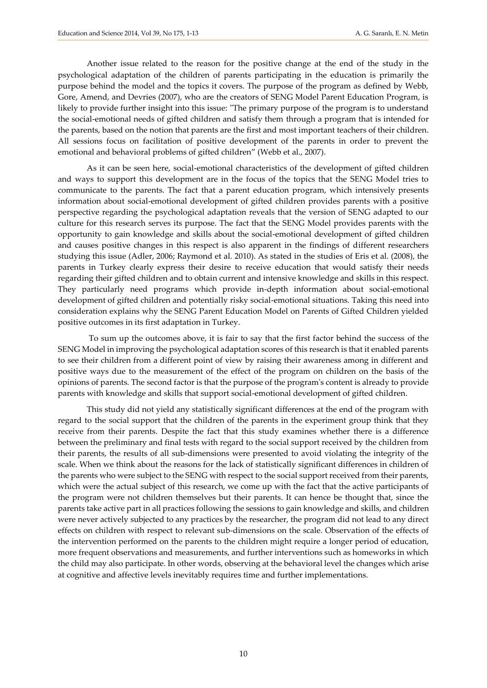Another issue related to the reason for the positive change at the end of the study in the psychological adaptation of the children of parents participating in the education is primarily the purpose behind the model and the topics it covers. The purpose of the program as defined by Webb, Gore, Amend, and Devries (2007), who are the creators of SENG Model Parent Education Program, is likely to provide further insight into this issue: "The primary purpose of the program is to understand the social-emotional needs of gifted children and satisfy them through a program that is intended for the parents, based on the notion that parents are the first and most important teachers of their children. All sessions focus on facilitation of positive development of the parents in order to prevent the emotional and behavioral problems of gifted children" (Webb et al., 2007).

As it can be seen here, social-emotional characteristics of the development of gifted children and ways to support this development are in the focus of the topics that the SENG Model tries to communicate to the parents. The fact that a parent education program, which intensively presents information about social-emotional development of gifted children provides parents with a positive perspective regarding the psychological adaptation reveals that the version of SENG adapted to our culture for this research serves its purpose. The fact that the SENG Model provides parents with the opportunity to gain knowledge and skills about the social-emotional development of gifted children and causes positive changes in this respect is also apparent in the findings of different researchers studying this issue (Adler, 2006; Raymond et al. 2010). As stated in the studies of Eris et al. (2008), the parents in Turkey clearly express their desire to receive education that would satisfy their needs regarding their gifted children and to obtain current and intensive knowledge and skills in this respect. They particularly need programs which provide in-depth information about social-emotional development of gifted children and potentially risky social-emotional situations. Taking this need into consideration explains why the SENG Parent Education Model on Parents of Gifted Children yielded positive outcomes in its first adaptation in Turkey.

To sum up the outcomes above, it is fair to say that the first factor behind the success of the SENG Model in improving the psychological adaptation scores of this research is that it enabled parents to see their children from a different point of view by raising their awareness among in different and positive ways due to the measurement of the effect of the program on children on the basis of the opinions of parents. The second factor is that the purpose of the program's content is already to provide parents with knowledge and skills that support social-emotional development of gifted children.

This study did not yield any statistically significant differences at the end of the program with regard to the social support that the children of the parents in the experiment group think that they receive from their parents. Despite the fact that this study examines whether there is a difference between the preliminary and final tests with regard to the social support received by the children from their parents, the results of all sub-dimensions were presented to avoid violating the integrity of the scale. When we think about the reasons for the lack of statistically significant differences in children of the parents who were subject to the SENG with respect to the social support received from their parents, which were the actual subject of this research, we come up with the fact that the active participants of the program were not children themselves but their parents. It can hence be thought that, since the parents take active part in all practices following the sessions to gain knowledge and skills, and children were never actively subjected to any practices by the researcher, the program did not lead to any direct effects on children with respect to relevant sub-dimensions on the scale. Observation of the effects of the intervention performed on the parents to the children might require a longer period of education, more frequent observations and measurements, and further interventions such as homeworks in which the child may also participate. In other words, observing at the behavioral level the changes which arise at cognitive and affective levels inevitably requires time and further implementations.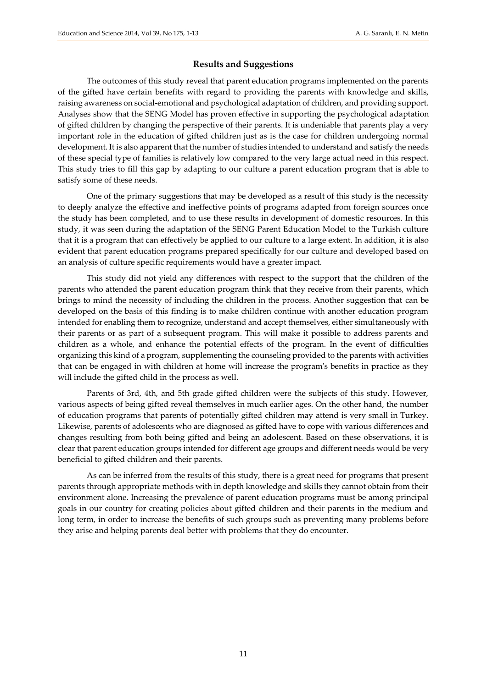### **Results and Suggestions**

The outcomes of this study reveal that parent education programs implemented on the parents of the gifted have certain benefits with regard to providing the parents with knowledge and skills, raising awareness on social-emotional and psychological adaptation of children, and providing support. Analyses show that the SENG Model has proven effective in supporting the psychological adaptation of gifted children by changing the perspective of their parents. It is undeniable that parents play a very important role in the education of gifted children just as is the case for children undergoing normal development. It is also apparent that the number of studies intended to understand and satisfy the needs of these special type of families is relatively low compared to the very large actual need in this respect. This study tries to fill this gap by adapting to our culture a parent education program that is able to satisfy some of these needs.

One of the primary suggestions that may be developed as a result of this study is the necessity to deeply analyze the effective and ineffective points of programs adapted from foreign sources once the study has been completed, and to use these results in development of domestic resources. In this study, it was seen during the adaptation of the SENG Parent Education Model to the Turkish culture that it is a program that can effectively be applied to our culture to a large extent. In addition, it is also evident that parent education programs prepared specifically for our culture and developed based on an analysis of culture specific requirements would have a greater impact.

This study did not yield any differences with respect to the support that the children of the parents who attended the parent education program think that they receive from their parents, which brings to mind the necessity of including the children in the process. Another suggestion that can be developed on the basis of this finding is to make children continue with another education program intended for enabling them to recognize, understand and accept themselves, either simultaneously with their parents or as part of a subsequent program. This will make it possible to address parents and children as a whole, and enhance the potential effects of the program. In the event of difficulties organizing this kind of a program, supplementing the counseling provided to the parents with activities that can be engaged in with children at home will increase the program's benefits in practice as they will include the gifted child in the process as well.

Parents of 3rd, 4th, and 5th grade gifted children were the subjects of this study. However, various aspects of being gifted reveal themselves in much earlier ages. On the other hand, the number of education programs that parents of potentially gifted children may attend is very small in Turkey. Likewise, parents of adolescents who are diagnosed as gifted have to cope with various differences and changes resulting from both being gifted and being an adolescent. Based on these observations, it is clear that parent education groups intended for different age groups and different needs would be very beneficial to gifted children and their parents.

As can be inferred from the results of this study, there is a great need for programs that present parents through appropriate methods with in depth knowledge and skills they cannot obtain from their environment alone. Increasing the prevalence of parent education programs must be among principal goals in our country for creating policies about gifted children and their parents in the medium and long term, in order to increase the benefits of such groups such as preventing many problems before they arise and helping parents deal better with problems that they do encounter.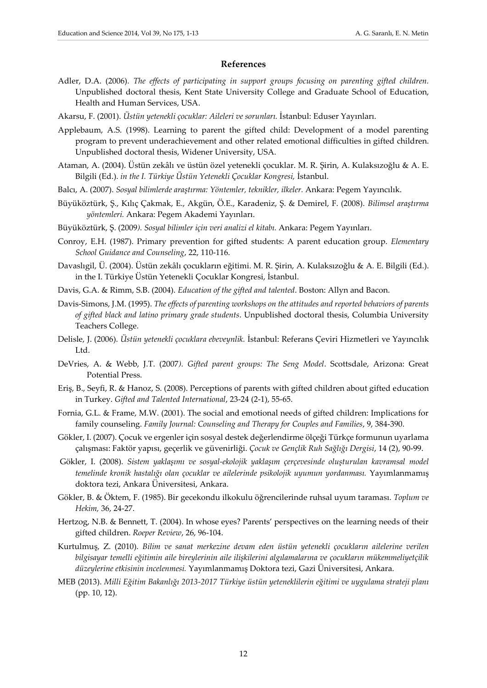#### **References**

- Adler, D.A. (2006). *The effects of participating in support groups focusing on parenting gifted children.* Unpublished doctoral thesis, Kent State University College and Graduate School of Education, Health and Human Services, USA.
- Akarsu, F. (2001). *Üstün yetenekli çocuklar: Aileleri ve sorunları.* İstanbul: Eduser Yayınları.
- Applebaum, A.S. (1998). Learning to parent the gifted child: Development of a model parenting program to prevent underachievement and other related emotional difficulties in gifted children. Unpublished doctoral thesis, Widener University, USA.
- Ataman, A. (2004). Üstün zekâlı ve üstün özel yetenekli çocuklar. M. R. Şirin, A. Kulaksızoğlu & A. E. Bilgili (Ed.). *in the I. Türkiye Üstün Yetenekli Çocuklar Kongresi,* İstanbul.
- Balcı, A. (2007). *Sosyal bilimlerde araştırma: Yöntemler, teknikler, ilkeler.* Ankara: Pegem Yayıncılık.
- Büyüköztürk, Ş., Kılıç Çakmak, E., Akgün, Ö.E., Karadeniz, Ş. & Demirel, F. (2008). *Bilimsel araştırma yöntemleri.* Ankara: Pegem Akademi Yayınları.
- Büyüköztürk, Ş. (2009*). Sosyal bilimler için veri analizi el kitabı.* Ankara: Pegem Yayınları.
- Conroy, E.H. (1987). Primary prevention for gifted students: A parent education group. *Elementary School Guidance and Counseling*, 22, 110-116.
- Davaslıgil, Ü. (2004). Üstün zekâlı çocukların eğitimi. M. R. Şirin, A. Kulaksızoğlu & A. E. Bilgili (Ed.). in the I. Türkiye Üstün Yetenekli Çocuklar Kongresi, İstanbul.
- Davis, G.A. & Rimm, S.B. (2004). *Education of the gifted and talented*. Boston: Allyn and Bacon.
- Davis-Simons, J.M. (1995). *The effects of parenting workshops on the attitudes and reported behaviors of parents of gifted black and latino primary grade students*. Unpublished doctoral thesis, Columbia University Teachers College.
- Delisle, J. (2006). *Üstün yetenekli çocuklara ebeveynlik.* İstanbul: Referans Çeviri Hizmetleri ve Yayıncılık Ltd.
- DeVries, A. & Webb, J.T. (2007*). Gifted parent groups: The Seng Model*. Scottsdale, Arizona: Great Potential Press.
- Eriş, B., Seyfi, R. & Hanoz, S. (2008). Perceptions of parents with gifted children about gifted education in Turkey. *Gifted and Talented International*, 23-24 (2-1), 55-65.
- Fornia, G.L. & Frame, M.W. (2001). The social and emotional needs of gifted children: Implications for family counseling. *Family Journal: Counseling and Therapy for Couples and Families*, 9, 384-390.
- Gökler, I. (2007). Çocuk ve ergenler için sosyal destek değerlendirme ölçeği Türkçe formunun uyarlama çalışması: Faktör yapısı, geçerlik ve güvenirliği. *Çocuk ve Gençlik Ruh Sağlığı Dergisi*, 14 (2), 90-99.
- Gökler, I. (2008). *Sistem yaklaşımı ve sosyal-ekolojik yaklaşım çerçevesinde oluşturulan kavramsal model temelinde kronik hastalığı olan çocuklar ve ailelerinde psikolojik uyumun yordanması.* Yayımlanmamış doktora tezi, Ankara Üniversitesi, Ankara.
- Gökler, B. & Öktem, F. (1985). Bir gecekondu ilkokulu öğrencilerinde ruhsal uyum taraması. *Toplum ve Hekim,* 36, 24-27.
- Hertzog, N.B. & Bennett, T. (2004). In whose eyes? Parents' perspectives on the learning needs of their gifted children. *Roeper Review*, 26, 96-104.
- Kurtulmuş, Z. (2010). *Bilim ve sanat merkezine devam eden üstün yetenekli çocukların ailelerine verilen bilgisayar temelli eğitimin aile bireylerinin aile ilişkilerini algılamalarına ve çocukların mükemmeliyetçilik düzeylerine etkisinin incelenmesi.* Yayımlanmamış Doktora tezi, Gazi Üniversitesi, Ankara.
- MEB (2013). *Milli Eğitim Bakanlığı 2013-2017 Türkiye üstün yeteneklilerin eğitimi ve uygulama strateji planı* (pp. 10, 12).